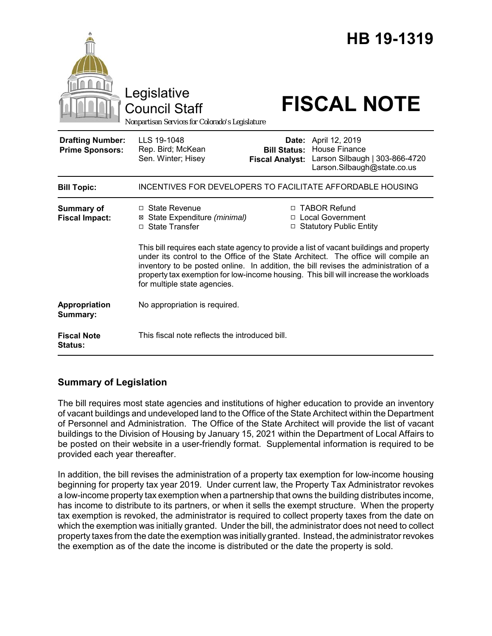|                                                   | Legislative<br><b>Council Staff</b><br>Nonpartisan Services for Colorado's Legislature                                                                                                                                                                                                             |                                               | HB 19-1319<br><b>FISCAL NOTE</b>                                                                                                                             |
|---------------------------------------------------|----------------------------------------------------------------------------------------------------------------------------------------------------------------------------------------------------------------------------------------------------------------------------------------------------|-----------------------------------------------|--------------------------------------------------------------------------------------------------------------------------------------------------------------|
| <b>Drafting Number:</b><br><b>Prime Sponsors:</b> | LLS 19-1048<br>Rep. Bird; McKean<br>Sen. Winter; Hisey                                                                                                                                                                                                                                             | <b>Bill Status:</b><br><b>Fiscal Analyst:</b> | Date: April 12, 2019<br>House Finance<br>Larson Silbaugh   303-866-4720<br>Larson.Silbaugh@state.co.us                                                       |
| <b>Bill Topic:</b>                                | INCENTIVES FOR DEVELOPERS TO FACILITATE AFFORDABLE HOUSING                                                                                                                                                                                                                                         |                                               |                                                                                                                                                              |
| <b>Summary of</b><br><b>Fiscal Impact:</b>        | □ State Revenue<br>⊠ State Expenditure (minimal)<br>□ State Transfer                                                                                                                                                                                                                               |                                               | □ TABOR Refund<br>□ Local Government<br>□ Statutory Public Entity<br>This bill requires each state agency to provide a list of vacant buildings and property |
|                                                   | under its control to the Office of the State Architect. The office will compile an<br>inventory to be posted online. In addition, the bill revises the administration of a<br>property tax exemption for low-income housing. This bill will increase the workloads<br>for multiple state agencies. |                                               |                                                                                                                                                              |
| Appropriation<br>Summary:                         | No appropriation is required.                                                                                                                                                                                                                                                                      |                                               |                                                                                                                                                              |
| <b>Fiscal Note</b><br>Status:                     | This fiscal note reflects the introduced bill.                                                                                                                                                                                                                                                     |                                               |                                                                                                                                                              |

## **Summary of Legislation**

The bill requires most state agencies and institutions of higher education to provide an inventory of vacant buildings and undeveloped land to the Office of the State Architect within the Department of Personnel and Administration. The Office of the State Architect will provide the list of vacant buildings to the Division of Housing by January 15, 2021 within the Department of Local Affairs to be posted on their website in a user-friendly format. Supplemental information is required to be provided each year thereafter.

In addition, the bill revises the administration of a property tax exemption for low-income housing beginning for property tax year 2019. Under current law, the Property Tax Administrator revokes a low-income property tax exemption when a partnership that owns the building distributes income, has income to distribute to its partners, or when it sells the exempt structure. When the property tax exemption is revoked, the administrator is required to collect property taxes from the date on which the exemption was initially granted. Under the bill, the administrator does not need to collect property taxes from the date the exemption was initially granted. Instead, the administrator revokes the exemption as of the date the income is distributed or the date the property is sold.